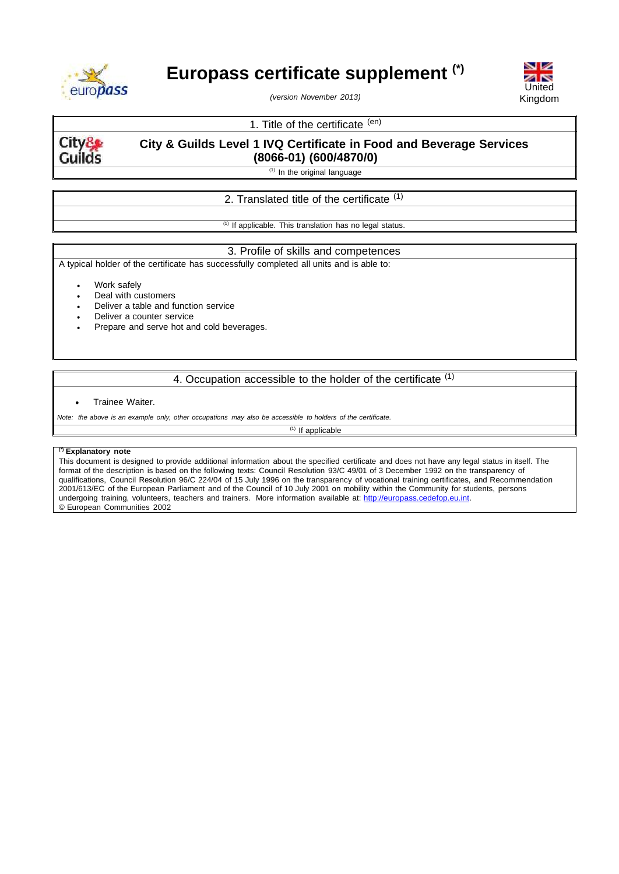

# **Europass certificate supplement (\*)**

*(version November 2013)*



# 1. Title of the certificate (en)

City& Guilds

# **City & Guilds Level 1 IVQ Certificate in Food and Beverage Services (8066-01) (600/4870/0)**

 $(1)$  In the original language

## 2. Translated title of the certificate <sup>(1)</sup>

 $(1)$  If applicable. This translation has no legal status.

## 3. Profile of skills and competences

A typical holder of the certificate has successfully completed all units and is able to:

Work safely

- Deal with customers
- Deliver a table and function service
- Deliver a counter service
- Prepare and serve hot and cold beverages.

## 4. Occupation accessible to the holder of the certificate (1)

#### Trainee Waiter.

Note: the above is an example only, other occupations may also be accessible to holders of the certificate.

 $(1)$  If applicable

#### **(\*) Explanatory note**

This document is designed to provide additional information about the specified certificate and does not have any legal status in itself. The format of the description is based on the following texts: Council Resolution 93/C 49/01 of 3 December 1992 on the transparency of qualifications, Council Resolution 96/C 224/04 of 15 July 1996 on the transparency of vocational training certificates, and Recommendation 2001/613/EC of the European Parliament and of the Council of 10 July 2001 on mobility within the Community for students, persons undergoing training, volunteers, teachers and trainers. More information available at: [http://europass.cedefop.eu.int.](http://europass.cedefop.eu.int/) © European Communities 2002